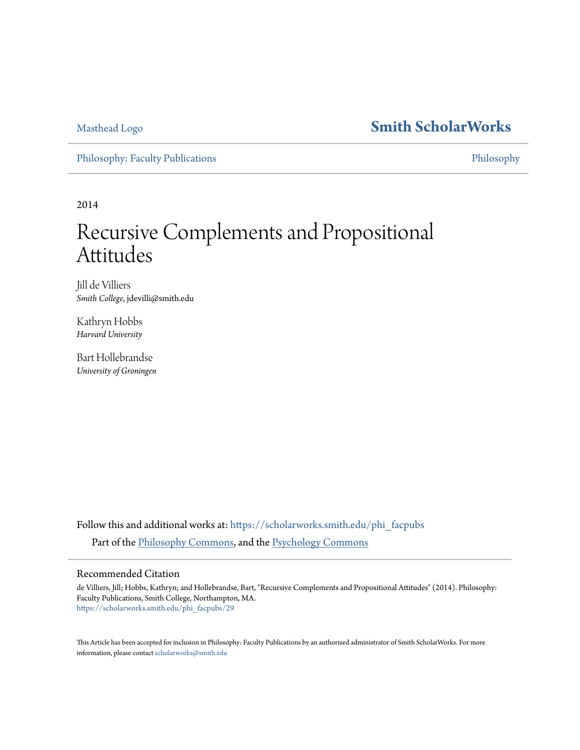[Masthead Logo](http://www.smith.edu/?utm_source=scholarworks.smith.edu%2Fphi_facpubs%2F29&utm_medium=PDF&utm_campaign=PDFCoverPages) **[Smith ScholarWorks](https://scholarworks.smith.edu?utm_source=scholarworks.smith.edu%2Fphi_facpubs%2F29&utm_medium=PDF&utm_campaign=PDFCoverPages)**

[Philosophy: Faculty Publications](https://scholarworks.smith.edu/phi_facpubs?utm_source=scholarworks.smith.edu%2Fphi_facpubs%2F29&utm_medium=PDF&utm_campaign=PDFCoverPages) **[Philosophy](https://scholarworks.smith.edu/phi?utm_source=scholarworks.smith.edu%2Fphi_facpubs%2F29&utm_medium=PDF&utm_campaign=PDFCoverPages)** 

2014

# Recursive Complements and Propositional Attitudes

Jill de Villiers *Smith College*, jdevilli@smith.edu

Kathryn Hobbs *Harvard University*

Bart Hollebrandse *University of Groningen*

Follow this and additional works at: [https://scholarworks.smith.edu/phi\\_facpubs](https://scholarworks.smith.edu/phi_facpubs?utm_source=scholarworks.smith.edu%2Fphi_facpubs%2F29&utm_medium=PDF&utm_campaign=PDFCoverPages) Part of the [Philosophy Commons,](http://network.bepress.com/hgg/discipline/525?utm_source=scholarworks.smith.edu%2Fphi_facpubs%2F29&utm_medium=PDF&utm_campaign=PDFCoverPages) and the [Psychology Commons](http://network.bepress.com/hgg/discipline/404?utm_source=scholarworks.smith.edu%2Fphi_facpubs%2F29&utm_medium=PDF&utm_campaign=PDFCoverPages)

# Recommended Citation

de Villiers, Jill; Hobbs, Kathryn; and Hollebrandse, Bart, "Recursive Complements and Propositional Attitudes" (2014). Philosophy: Faculty Publications, Smith College, Northampton, MA. [https://scholarworks.smith.edu/phi\\_facpubs/29](https://scholarworks.smith.edu/phi_facpubs/29?utm_source=scholarworks.smith.edu%2Fphi_facpubs%2F29&utm_medium=PDF&utm_campaign=PDFCoverPages)

This Article has been accepted for inclusion in Philosophy: Faculty Publications by an authorized administrator of Smith ScholarWorks. For more information, please contact [scholarworks@smith.edu](mailto:scholarworks@smith.edu)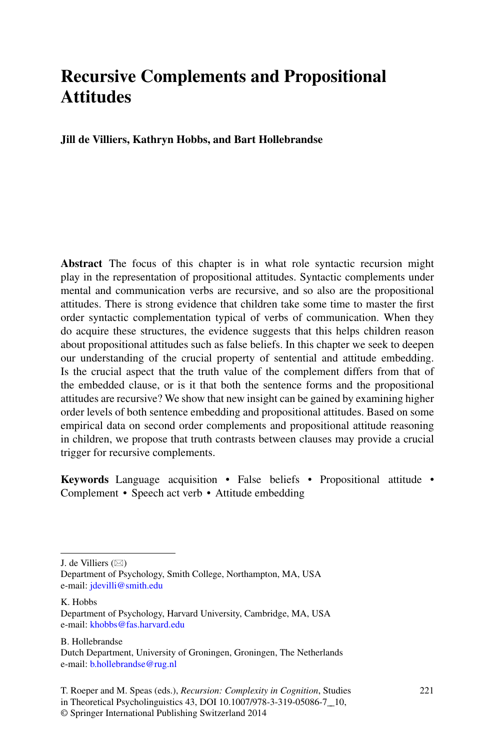# **Recursive Complements and Propositional Attitudes**

**Jill de Villiers, Kathryn Hobbs, and Bart Hollebrandse**

**Abstract** The focus of this chapter is in what role syntactic recursion might play in the representation of propositional attitudes. Syntactic complements under mental and communication verbs are recursive, and so also are the propositional attitudes. There is strong evidence that children take some time to master the first order syntactic complementation typical of verbs of communication. When they do acquire these structures, the evidence suggests that this helps children reason about propositional attitudes such as false beliefs. In this chapter we seek to deepen our understanding of the crucial property of sentential and attitude embedding. Is the crucial aspect that the truth value of the complement differs from that of the embedded clause, or is it that both the sentence forms and the propositional attitudes are recursive? We show that new insight can be gained by examining higher order levels of both sentence embedding and propositional attitudes. Based on some empirical data on second order complements and propositional attitude reasoning in children, we propose that truth contrasts between clauses may provide a crucial trigger for recursive complements.

**Keywords** Language acquisition • False beliefs • Propositional attitude • Complement • Speech act verb • Attitude embedding

J. de Villiers ( $\boxtimes$ )

K. Hobbs

B. Hollebrandse Dutch Department, University of Groningen, Groningen, The Netherlands e-mail: [b.hollebrandse@rug.nl](mailto:b.hollebrandse@rug.nl)

Department of Psychology, Smith College, Northampton, MA, USA e-mail: [jdevilli@smith.edu](mailto:jdevilli@smith.edu)

Department of Psychology, Harvard University, Cambridge, MA, USA e-mail: [khobbs@fas.harvard.edu](mailto:khobbs@fas.harvard.edu)

T. Roeper and M. Speas (eds.), *Recursion: Complexity in Cognition*, Studies in Theoretical Psycholinguistics 43, DOI 10.1007/978-3-319-05086-7\_\_10, © Springer International Publishing Switzerland 2014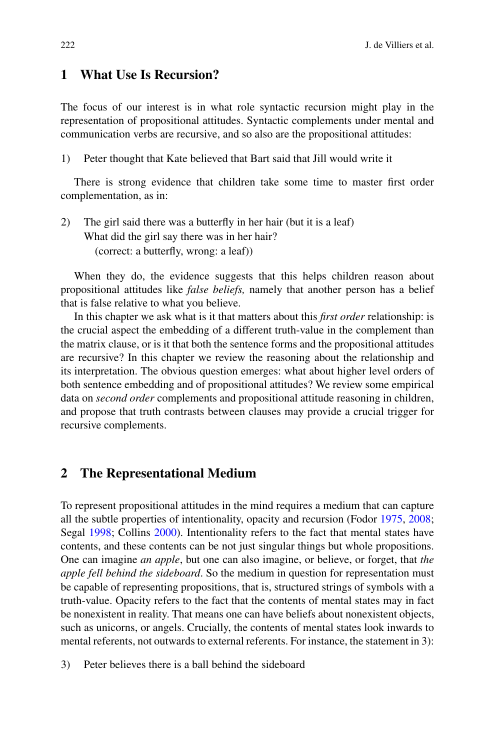# **1 What Use Is Recursion?**

The focus of our interest is in what role syntactic recursion might play in the representation of propositional attitudes. Syntactic complements under mental and communication verbs are recursive, and so also are the propositional attitudes:

1) Peter thought that Kate believed that Bart said that Jill would write it

There is strong evidence that children take some time to master first order complementation, as in:

2) The girl said there was a butterfly in her hair (but it is a leaf) What did the girl say there was in her hair? (correct: a butterfly, wrong: a leaf))

When they do, the evidence suggests that this helps children reason about propositional attitudes like *false beliefs,* namely that another person has a belief that is false relative to what you believe.

In this chapter we ask what is it that matters about this *first order* relationship: is the crucial aspect the embedding of a different truth-value in the complement than the matrix clause, or is it that both the sentence forms and the propositional attitudes are recursive? In this chapter we review the reasoning about the relationship and its interpretation. The obvious question emerges: what about higher level orders of both sentence embedding and of propositional attitudes? We review some empirical data on *second order* complements and propositional attitude reasoning in children, and propose that truth contrasts between clauses may provide a crucial trigger for recursive complements.

# **2 The Representational Medium**

To represent propositional attitudes in the mind requires a medium that can capture all the subtle properties of intentionality, opacity and recursion (Fodor [1975,](#page-20-0) [2008;](#page-20-1) Segal [1998;](#page-22-0) Collins [2000\)](#page-20-2). Intentionality refers to the fact that mental states have contents, and these contents can be not just singular things but whole propositions. One can imagine *an apple*, but one can also imagine, or believe, or forget, that *the apple fell behind the sideboard*. So the medium in question for representation must be capable of representing propositions, that is, structured strings of symbols with a truth-value. Opacity refers to the fact that the contents of mental states may in fact be nonexistent in reality. That means one can have beliefs about nonexistent objects, such as unicorns, or angels. Crucially, the contents of mental states look inwards to mental referents, not outwards to external referents. For instance, the statement in 3):

3) Peter believes there is a ball behind the sideboard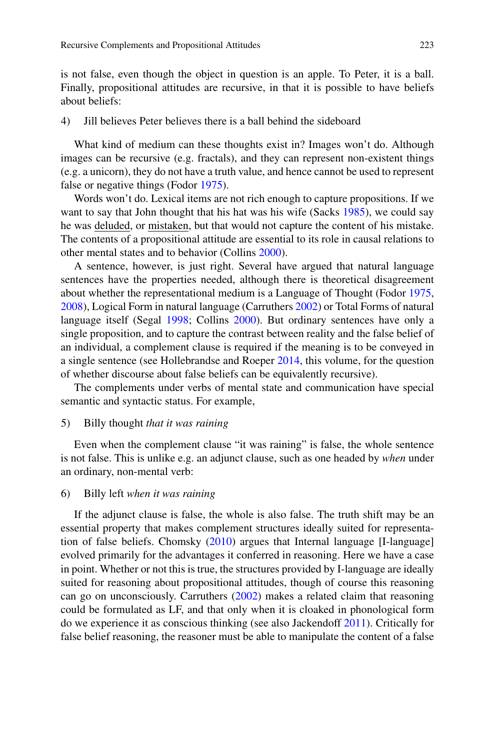is not false, even though the object in question is an apple. To Peter, it is a ball. Finally, propositional attitudes are recursive, in that it is possible to have beliefs about beliefs:

#### 4) Jill believes Peter believes there is a ball behind the sideboard

What kind of medium can these thoughts exist in? Images won't do. Although images can be recursive (e.g. fractals), and they can represent non-existent things (e.g. a unicorn), they do not have a truth value, and hence cannot be used to represent false or negative things (Fodor [1975\)](#page-20-0).

Words won't do. Lexical items are not rich enough to capture propositions. If we want to say that John thought that his hat was his wife (Sacks [1985\)](#page-21-0), we could say he was deluded, or mistaken, but that would not capture the content of his mistake. The contents of a propositional attitude are essential to its role in causal relations to other mental states and to behavior (Collins [2000\)](#page-20-2).

A sentence, however, is just right. Several have argued that natural language sentences have the properties needed, although there is theoretical disagreement about whether the representational medium is a Language of Thought (Fodor [1975,](#page-20-0) [2008\)](#page-20-1), Logical Form in natural language (Carruthers [2002\)](#page-19-0) or Total Forms of natural language itself (Segal [1998;](#page-22-0) Collins [2000\)](#page-20-2). But ordinary sentences have only a single proposition, and to capture the contrast between reality and the false belief of an individual, a complement clause is required if the meaning is to be conveyed in a single sentence (see Hollebrandse and Roeper [2014,](#page-21-1) this volume, for the question of whether discourse about false beliefs can be equivalently recursive).

The complements under verbs of mental state and communication have special semantic and syntactic status. For example,

#### 5) Billy thought *that it was raining*

Even when the complement clause "it was raining" is false, the whole sentence is not false. This is unlike e.g. an adjunct clause, such as one headed by *when* under an ordinary, non-mental verb:

#### 6) Billy left *when it was raining*

If the adjunct clause is false, the whole is also false. The truth shift may be an essential property that makes complement structures ideally suited for representation of false beliefs. Chomsky [\(2010\)](#page-20-3) argues that Internal language [I-language] evolved primarily for the advantages it conferred in reasoning. Here we have a case in point. Whether or not this is true, the structures provided by I-language are ideally suited for reasoning about propositional attitudes, though of course this reasoning can go on unconsciously. Carruthers [\(2002\)](#page-19-0) makes a related claim that reasoning could be formulated as LF, and that only when it is cloaked in phonological form do we experience it as conscious thinking (see also Jackendoff [2011\)](#page-21-2). Critically for false belief reasoning, the reasoner must be able to manipulate the content of a false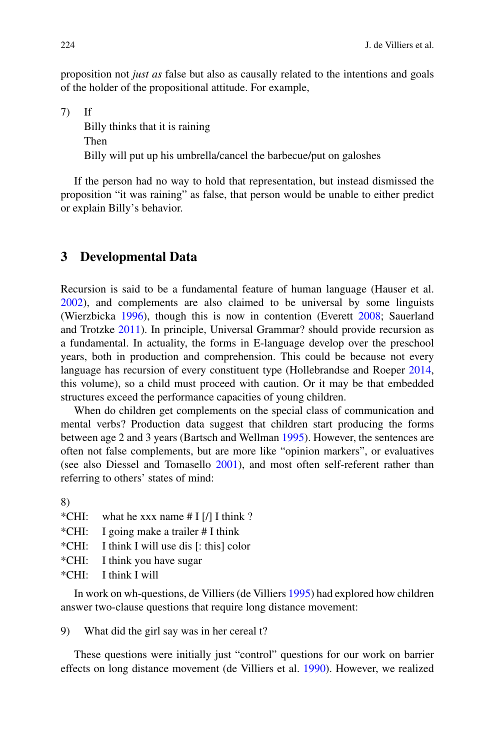proposition not *just as* false but also as causally related to the intentions and goals of the holder of the propositional attitude. For example,

7) If Billy thinks that it is raining Then Billy will put up his umbrella/cancel the barbecue/put on galoshes

If the person had no way to hold that representation, but instead dismissed the proposition "it was raining" as false, that person would be unable to either predict or explain Billy's behavior.

## **3 Developmental Data**

Recursion is said to be a fundamental feature of human language (Hauser et al. [2002\)](#page-21-3), and complements are also claimed to be universal by some linguists (Wierzbicka [1996\)](#page-22-1), though this is now in contention (Everett [2008;](#page-20-4) Sauerland and Trotzke [2011\)](#page-22-2). In principle, Universal Grammar? should provide recursion as a fundamental. In actuality, the forms in E-language develop over the preschool years, both in production and comprehension. This could be because not every language has recursion of every constituent type (Hollebrandse and Roeper [2014,](#page-21-1) this volume), so a child must proceed with caution. Or it may be that embedded structures exceed the performance capacities of young children.

When do children get complements on the special class of communication and mental verbs? Production data suggest that children start producing the forms between age 2 and 3 years (Bartsch and Wellman [1995\)](#page-19-1). However, the sentences are often not false complements, but are more like "opinion markers", or evaluatives (see also Diessel and Tomasello [2001\)](#page-20-5), and most often self-referent rather than referring to others' states of mind:

8)

- \*CHI: what he xxx name  $#$  I [ $/$ ] I think ?
- \*CHI: I going make a trailer # I think
- \*CHI: I think I will use dis [: this] color
- \*CHI: I think you have sugar
- \*CHI: I think I will

In work on wh-questions, de Villiers (de Villiers [1995\)](#page-20-6) had explored how children answer two-clause questions that require long distance movement:

9) What did the girl say was in her cereal t?

These questions were initially just "control" questions for our work on barrier effects on long distance movement (de Villiers et al. [1990\)](#page-20-7). However, we realized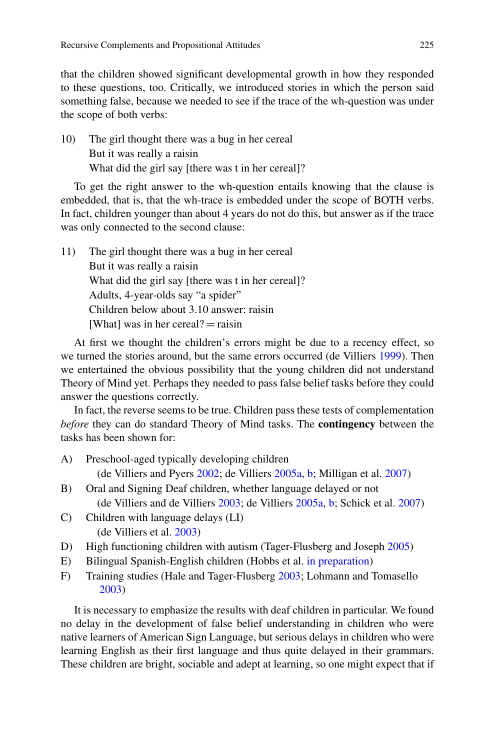that the children showed significant developmental growth in how they responded to these questions, too. Critically, we introduced stories in which the person said something false, because we needed to see if the trace of the wh-question was under the scope of both verbs:

10) The girl thought there was a bug in her cereal But it was really a raisin What did the girl say [there was t in her cereal]?

To get the right answer to the wh-question entails knowing that the clause is embedded, that is, that the wh-trace is embedded under the scope of BOTH verbs. In fact, children younger than about 4 years do not do this, but answer as if the trace was only connected to the second clause:

11) The girl thought there was a bug in her cereal But it was really a raisin What did the girl say [there was t in her cereal]? Adults, 4-year-olds say "a spider" Children below about 3.10 answer: raisin [What] was in her cereal?  $=$  raisin

At first we thought the children's errors might be due to a recency effect, so we turned the stories around, but the same errors occurred (de Villiers [1999\)](#page-20-8). Then we entertained the obvious possibility that the young children did not understand Theory of Mind yet. Perhaps they needed to pass false belief tasks before they could answer the questions correctly.

In fact, the reverse seems to be true. Children pass these tests of complementation *before* they can do standard Theory of Mind tasks. The **contingency** between the tasks has been shown for:

- A) Preschool-aged typically developing children (de Villiers and Pyers [2002;](#page-20-9) de Villiers [2005a,](#page-20-10) [b;](#page-20-11) Milligan et al. [2007\)](#page-21-4)
- B) Oral and Signing Deaf children, whether language delayed or not (de Villiers and de Villiers [2003;](#page-20-12) de Villiers [2005a,](#page-20-10) [b;](#page-20-11) Schick et al. [2007\)](#page-22-3)
- C) Children with language delays (LI) (de Villiers et al. [2003\)](#page-20-13)
- D) High functioning children with autism (Tager-Flusberg and Joseph [2005\)](#page-22-4)
- E) Bilingual Spanish-English children (Hobbs et al. [in preparation\)](#page-21-5)
- F) Training studies (Hale and Tager-Flusberg [2003;](#page-20-14) Lohmann and Tomasello [2003\)](#page-21-6)

It is necessary to emphasize the results with deaf children in particular. We found no delay in the development of false belief understanding in children who were native learners of American Sign Language, but serious delays in children who were learning English as their first language and thus quite delayed in their grammars. These children are bright, sociable and adept at learning, so one might expect that if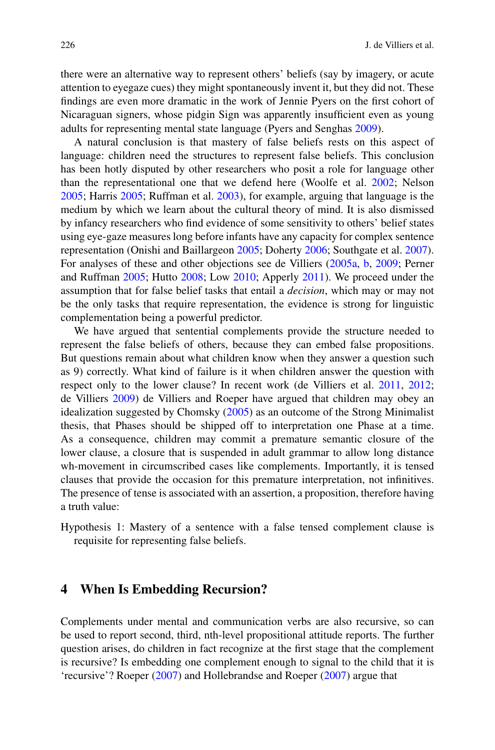there were an alternative way to represent others' beliefs (say by imagery, or acute attention to eyegaze cues) they might spontaneously invent it, but they did not. These findings are even more dramatic in the work of Jennie Pyers on the first cohort of Nicaraguan signers, whose pidgin Sign was apparently insufficient even as young adults for representing mental state language (Pyers and Senghas [2009\)](#page-21-7).

A natural conclusion is that mastery of false beliefs rests on this aspect of language: children need the structures to represent false beliefs. This conclusion has been hotly disputed by other researchers who posit a role for language other than the representational one that we defend here (Woolfe et al. [2002;](#page-22-5) Nelson [2005;](#page-21-8) Harris [2005;](#page-21-9) Ruffman et al. [2003\)](#page-21-10), for example, arguing that language is the medium by which we learn about the cultural theory of mind. It is also dismissed by infancy researchers who find evidence of some sensitivity to others' belief states using eye-gaze measures long before infants have any capacity for complex sentence representation (Onishi and Baillargeon [2005;](#page-21-11) Doherty [2006;](#page-20-15) Southgate et al. [2007\)](#page-22-6). For analyses of these and other objections see de Villiers [\(2005a,](#page-20-10) [b,](#page-20-11) [2009;](#page-20-16) Perner and Ruffman [2005;](#page-21-12) Hutto [2008;](#page-21-13) Low [2010;](#page-21-14) Apperly [2011\)](#page-19-2). We proceed under the assumption that for false belief tasks that entail a *decision*, which may or may not be the only tasks that require representation, the evidence is strong for linguistic complementation being a powerful predictor.

We have argued that sentential complements provide the structure needed to represent the false beliefs of others, because they can embed false propositions. But questions remain about what children know when they answer a question such as 9) correctly. What kind of failure is it when children answer the question with respect only to the lower clause? In recent work (de Villiers et al. [2011,](#page-20-17) [2012;](#page-20-18) de Villiers [2009\)](#page-20-16) de Villiers and Roeper have argued that children may obey an idealization suggested by Chomsky [\(2005\)](#page-19-3) as an outcome of the Strong Minimalist thesis, that Phases should be shipped off to interpretation one Phase at a time. As a consequence, children may commit a premature semantic closure of the lower clause, a closure that is suspended in adult grammar to allow long distance wh-movement in circumscribed cases like complements. Importantly, it is tensed clauses that provide the occasion for this premature interpretation, not infinitives. The presence of tense is associated with an assertion, a proposition, therefore having a truth value:

Hypothesis 1: Mastery of a sentence with a false tensed complement clause is requisite for representing false beliefs.

#### **4 When Is Embedding Recursion?**

Complements under mental and communication verbs are also recursive, so can be used to report second, third, nth-level propositional attitude reports. The further question arises, do children in fact recognize at the first stage that the complement is recursive? Is embedding one complement enough to signal to the child that it is 'recursive'? Roeper [\(2007\)](#page-21-15) and Hollebrandse and Roeper [\(2007\)](#page-21-16) argue that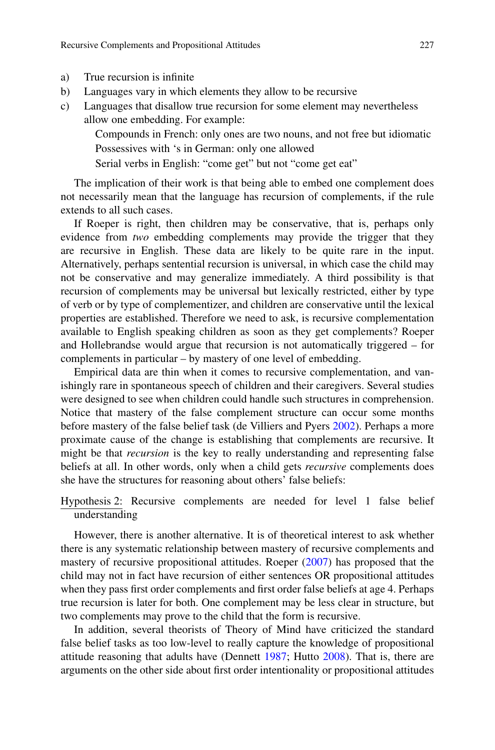- a) True recursion is infinite
- b) Languages vary in which elements they allow to be recursive
- c) Languages that disallow true recursion for some element may nevertheless allow one embedding. For example:

Compounds in French: only ones are two nouns, and not free but idiomatic Possessives with 's in German: only one allowed

Serial verbs in English: "come get" but not "come get eat"

The implication of their work is that being able to embed one complement does not necessarily mean that the language has recursion of complements, if the rule extends to all such cases.

If Roeper is right, then children may be conservative, that is, perhaps only evidence from *two* embedding complements may provide the trigger that they are recursive in English. These data are likely to be quite rare in the input. Alternatively, perhaps sentential recursion is universal, in which case the child may not be conservative and may generalize immediately. A third possibility is that recursion of complements may be universal but lexically restricted, either by type of verb or by type of complementizer, and children are conservative until the lexical properties are established. Therefore we need to ask, is recursive complementation available to English speaking children as soon as they get complements? Roeper and Hollebrandse would argue that recursion is not automatically triggered – for complements in particular – by mastery of one level of embedding.

Empirical data are thin when it comes to recursive complementation, and vanishingly rare in spontaneous speech of children and their caregivers. Several studies were designed to see when children could handle such structures in comprehension. Notice that mastery of the false complement structure can occur some months before mastery of the false belief task (de Villiers and Pyers [2002\)](#page-20-9). Perhaps a more proximate cause of the change is establishing that complements are recursive. It might be that *recursion* is the key to really understanding and representing false beliefs at all. In other words, only when a child gets *recursive* complements does she have the structures for reasoning about others' false beliefs:

Hypothesis 2: Recursive complements are needed for level 1 false belief understanding

However, there is another alternative. It is of theoretical interest to ask whether there is any systematic relationship between mastery of recursive complements and mastery of recursive propositional attitudes. Roeper [\(2007\)](#page-21-15) has proposed that the child may not in fact have recursion of either sentences OR propositional attitudes when they pass first order complements and first order false beliefs at age 4. Perhaps true recursion is later for both. One complement may be less clear in structure, but two complements may prove to the child that the form is recursive.

In addition, several theorists of Theory of Mind have criticized the standard false belief tasks as too low-level to really capture the knowledge of propositional attitude reasoning that adults have (Dennett [1987;](#page-20-19) Hutto [2008\)](#page-21-13). That is, there are arguments on the other side about first order intentionality or propositional attitudes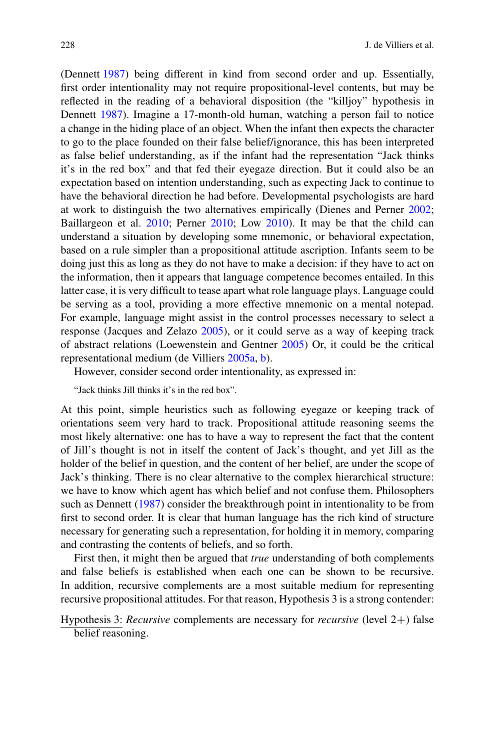(Dennett [1987\)](#page-20-19) being different in kind from second order and up. Essentially, first order intentionality may not require propositional-level contents, but may be reflected in the reading of a behavioral disposition (the "killjoy" hypothesis in Dennett [1987\)](#page-20-19). Imagine a 17-month-old human, watching a person fail to notice a change in the hiding place of an object. When the infant then expects the character to go to the place founded on their false belief/ignorance, this has been interpreted as false belief understanding, as if the infant had the representation "Jack thinks it's in the red box" and that fed their eyegaze direction. But it could also be an expectation based on intention understanding, such as expecting Jack to continue to have the behavioral direction he had before. Developmental psychologists are hard at work to distinguish the two alternatives empirically (Dienes and Perner [2002;](#page-20-20) Baillargeon et al. [2010;](#page-19-4) Perner [2010;](#page-21-17) Low [2010\)](#page-21-14). It may be that the child can understand a situation by developing some mnemonic, or behavioral expectation, based on a rule simpler than a propositional attitude ascription. Infants seem to be doing just this as long as they do not have to make a decision: if they have to act on the information, then it appears that language competence becomes entailed. In this latter case, it is very difficult to tease apart what role language plays. Language could be serving as a tool, providing a more effective mnemonic on a mental notepad. For example, language might assist in the control processes necessary to select a response (Jacques and Zelazo [2005\)](#page-21-18), or it could serve as a way of keeping track of abstract relations (Loewenstein and Gentner [2005\)](#page-21-19) Or, it could be the critical representational medium (de Villiers [2005a,](#page-20-10) [b\)](#page-20-11).

However, consider second order intentionality, as expressed in:

"Jack thinks Jill thinks it's in the red box".

At this point, simple heuristics such as following eyegaze or keeping track of orientations seem very hard to track. Propositional attitude reasoning seems the most likely alternative: one has to have a way to represent the fact that the content of Jill's thought is not in itself the content of Jack's thought, and yet Jill as the holder of the belief in question, and the content of her belief, are under the scope of Jack's thinking. There is no clear alternative to the complex hierarchical structure: we have to know which agent has which belief and not confuse them. Philosophers such as Dennett [\(1987\)](#page-20-19) consider the breakthrough point in intentionality to be from first to second order. It is clear that human language has the rich kind of structure necessary for generating such a representation, for holding it in memory, comparing and contrasting the contents of beliefs, and so forth.

First then, it might then be argued that *true* understanding of both complements and false beliefs is established when each one can be shown to be recursive. In addition, recursive complements are a most suitable medium for representing recursive propositional attitudes. For that reason, Hypothesis 3 is a strong contender:

Hypothesis 3: *Recursive* complements are necessary for *recursive* (level 2+) false belief reasoning.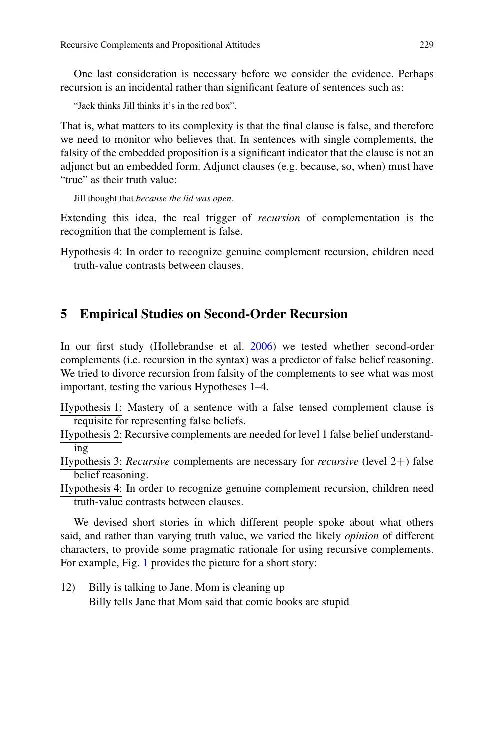One last consideration is necessary before we consider the evidence. Perhaps recursion is an incidental rather than significant feature of sentences such as:

"Jack thinks Jill thinks it's in the red box".

That is, what matters to its complexity is that the final clause is false, and therefore we need to monitor who believes that. In sentences with single complements, the falsity of the embedded proposition is a significant indicator that the clause is not an adjunct but an embedded form. Adjunct clauses (e.g. because, so, when) must have "true" as their truth value:

Jill thought that *because the lid was open.*

Extending this idea, the real trigger of *recursion* of complementation is the recognition that the complement is false.

Hypothesis 4: In order to recognize genuine complement recursion, children need truth-value contrasts between clauses.

# **5 Empirical Studies on Second-Order Recursion**

In our first study (Hollebrandse et al. [2006\)](#page-21-20) we tested whether second-order complements (i.e. recursion in the syntax) was a predictor of false belief reasoning. We tried to divorce recursion from falsity of the complements to see what was most important, testing the various Hypotheses 1–4.

Hypothesis 1: Mastery of a sentence with a false tensed complement clause is requisite for representing false beliefs.

Hypothesis 2: Recursive complements are needed for level 1 false belief understanding

Hypothesis 3: *Recursive* complements are necessary for *recursive* (level 2+) false belief reasoning.

Hypothesis 4: In order to recognize genuine complement recursion, children need truth-value contrasts between clauses.

We devised short stories in which different people spoke about what others said, and rather than varying truth value, we varied the likely *opinion* of different characters, to provide some pragmatic rationale for using recursive complements. For example, Fig. [1](#page-10-0) provides the picture for a short story:

12) Billy is talking to Jane. Mom is cleaning up Billy tells Jane that Mom said that comic books are stupid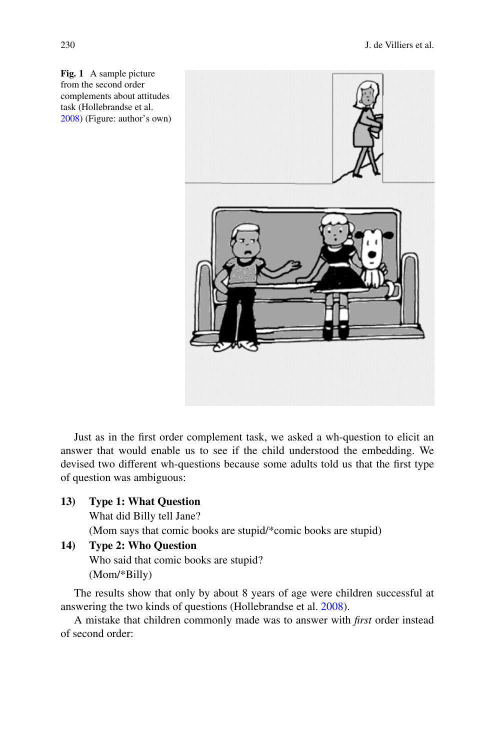

<span id="page-10-0"></span>**Fig. 1** A sample picture from the second order complements about attitudes task (Hollebrandse et al. [2008\)](#page-21-21) (Figure: author's own)

Just as in the first order complement task, we asked a wh-question to elicit an answer that would enable us to see if the child understood the embedding. We devised two different wh-questions because some adults told us that the first type of question was ambiguous:

#### **13) Type 1: What Question**

What did Billy tell Jane?

(Mom says that comic books are stupid/\*comic books are stupid)

#### **14) Type 2: Who Question**

Who said that comic books are stupid? (Mom/\*Billy)

The results show that only by about 8 years of age were children successful at answering the two kinds of questions (Hollebrandse et al. [2008\)](#page-21-21).

A mistake that children commonly made was to answer with *first* order instead of second order: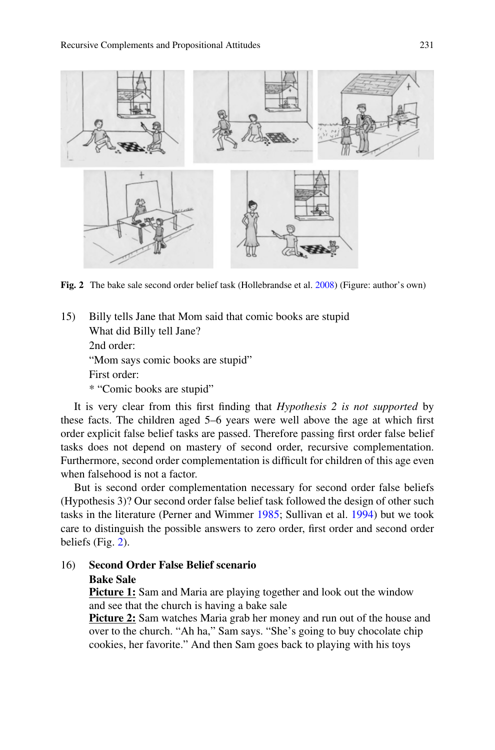

<span id="page-11-0"></span>**Fig. 2** The bake sale second order belief task (Hollebrandse et al. [2008\)](#page-21-21) (Figure: author's own)

15) Billy tells Jane that Mom said that comic books are stupid What did Billy tell Jane? 2nd order: "Mom says comic books are stupid" First order: \* "Comic books are stupid"

It is very clear from this first finding that *Hypothesis 2 is not supported* by these facts. The children aged 5–6 years were well above the age at which first order explicit false belief tasks are passed. Therefore passing first order false belief tasks does not depend on mastery of second order, recursive complementation. Furthermore, second order complementation is difficult for children of this age even when falsehood is not a factor.

But is second order complementation necessary for second order false beliefs (Hypothesis 3)? Our second order false belief task followed the design of other such tasks in the literature (Perner and Wimmer [1985;](#page-21-22) Sullivan et al. [1994\)](#page-22-7) but we took care to distinguish the possible answers to zero order, first order and second order beliefs (Fig. [2\)](#page-11-0).

16) **Second Order False Belief scenario Bake Sale**

**Picture 1:** Sam and Maria are playing together and look out the window and see that the church is having a bake sale

**Picture 2:** Sam watches Maria grab her money and run out of the house and over to the church. "Ah ha," Sam says. "She's going to buy chocolate chip cookies, her favorite." And then Sam goes back to playing with his toys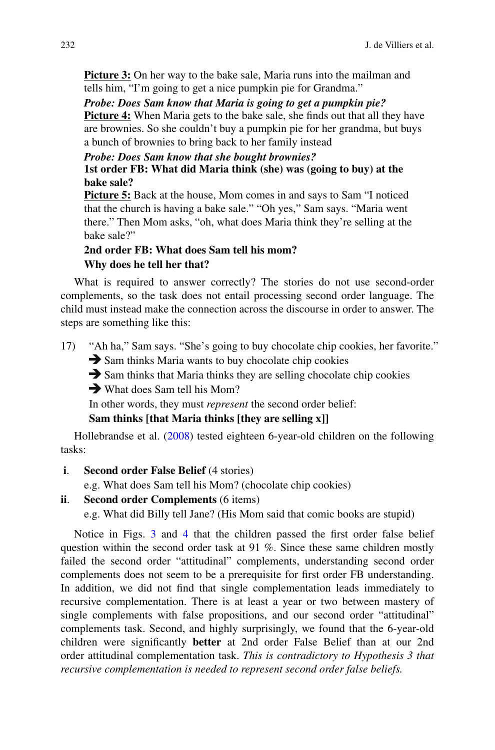**Picture 3:** On her way to the bake sale, Maria runs into the mailman and tells him, "I'm going to get a nice pumpkin pie for Grandma."

#### *Probe: Does Sam know that Maria is going to get a pumpkin pie?*

**Picture 4:** When Maria gets to the bake sale, she finds out that all they have are brownies. So she couldn't buy a pumpkin pie for her grandma, but buys a bunch of brownies to bring back to her family instead

#### *Probe: Does Sam know that she bought brownies?*

#### **1st order FB: What did Maria think (she) was (going to buy) at the bake sale?**

**Picture 5:** Back at the house, Mom comes in and says to Sam "I noticed that the church is having a bake sale." "Oh yes," Sam says. "Maria went there." Then Mom asks, "oh, what does Maria think they're selling at the bake sale?"

# **2nd order FB: What does Sam tell his mom? Why does he tell her that?**

What is required to answer correctly? The stories do not use second-order complements, so the task does not entail processing second order language. The child must instead make the connection across the discourse in order to answer. The steps are something like this:

17) "Ah ha," Sam says. "She's going to buy chocolate chip cookies, her favorite."

 $\rightarrow$  Sam thinks Maria wants to buy chocolate chip cookies

 $\rightarrow$  Sam thinks that Maria thinks they are selling chocolate chip cookies

 $\rightarrow$  What does Sam tell his Mom?

In other words, they must *represent* the second order belief:

**Sam thinks [that Maria thinks [they are selling x]]**

Hollebrandse et al. [\(2008\)](#page-21-21) tested eighteen 6-year-old children on the following tasks:

#### **i**. **Second order False Belief** (4 stories)

e.g. What does Sam tell his Mom? (chocolate chip cookies)

#### **ii**. **Second order Complements** (6 items)

e.g. What did Billy tell Jane? (His Mom said that comic books are stupid)

Notice in Figs. [3](#page-13-0) and [4](#page-13-1) that the children passed the first order false belief question within the second order task at 91 %. Since these same children mostly failed the second order "attitudinal" complements, understanding second order complements does not seem to be a prerequisite for first order FB understanding. In addition, we did not find that single complementation leads immediately to recursive complementation. There is at least a year or two between mastery of single complements with false propositions, and our second order "attitudinal" complements task. Second, and highly surprisingly, we found that the 6-year-old children were significantly **better** at 2nd order False Belief than at our 2nd order attitudinal complementation task. *This is contradictory to Hypothesis 3 that recursive complementation is needed to represent second order false beliefs.*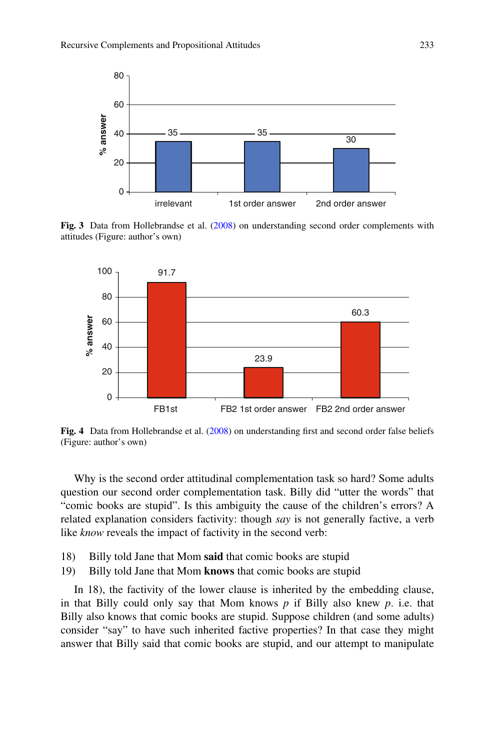

<span id="page-13-0"></span>**Fig. 3** Data from Hollebrandse et al. [\(2008\)](#page-21-21) on understanding second order complements with attitudes (Figure: author's own)



<span id="page-13-1"></span>**Fig. 4** Data from Hollebrandse et al. [\(2008\)](#page-21-21) on understanding first and second order false beliefs (Figure: author's own)

Why is the second order attitudinal complementation task so hard? Some adults question our second order complementation task. Billy did "utter the words" that "comic books are stupid". Is this ambiguity the cause of the children's errors? A related explanation considers factivity: though *say* is not generally factive, a verb like *know* reveals the impact of factivity in the second verb:

- 18) Billy told Jane that Mom **said** that comic books are stupid
- 19) Billy told Jane that Mom **knows** that comic books are stupid

In 18), the factivity of the lower clause is inherited by the embedding clause, in that Billy could only say that Mom knows *p* if Billy also knew *p*. i.e. that Billy also knows that comic books are stupid. Suppose children (and some adults) consider "say" to have such inherited factive properties? In that case they might answer that Billy said that comic books are stupid, and our attempt to manipulate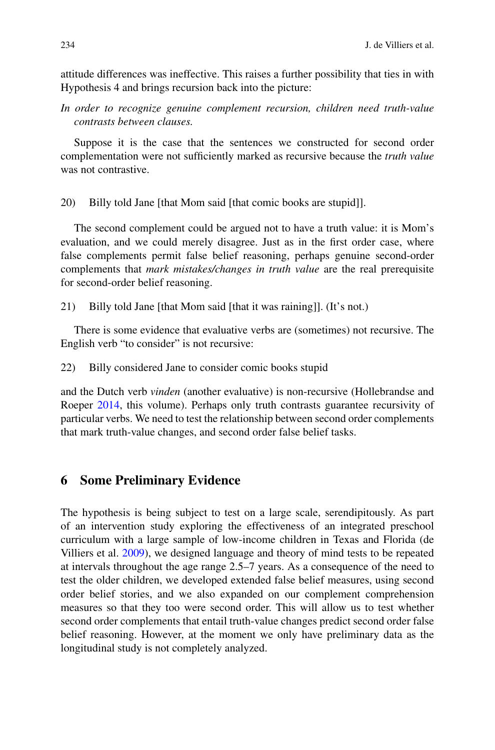attitude differences was ineffective. This raises a further possibility that ties in with Hypothesis 4 and brings recursion back into the picture:

*In order to recognize genuine complement recursion, children need truth-value contrasts between clauses.*

Suppose it is the case that the sentences we constructed for second order complementation were not sufficiently marked as recursive because the *truth value* was not contrastive.

20) Billy told Jane [that Mom said [that comic books are stupid]].

The second complement could be argued not to have a truth value: it is Mom's evaluation, and we could merely disagree. Just as in the first order case, where false complements permit false belief reasoning, perhaps genuine second-order complements that *mark mistakes/changes in truth value* are the real prerequisite for second-order belief reasoning.

21) Billy told Jane [that Mom said [that it was raining]]. (It's not.)

There is some evidence that evaluative verbs are (sometimes) not recursive. The English verb "to consider" is not recursive:

22) Billy considered Jane to consider comic books stupid

and the Dutch verb *vinden* (another evaluative) is non-recursive (Hollebrandse and Roeper [2014,](#page-21-1) this volume). Perhaps only truth contrasts guarantee recursivity of particular verbs. We need to test the relationship between second order complements that mark truth-value changes, and second order false belief tasks.

## **6 Some Preliminary Evidence**

The hypothesis is being subject to test on a large scale, serendipitously. As part of an intervention study exploring the effectiveness of an integrated preschool curriculum with a large sample of low-income children in Texas and Florida (de Villiers et al. [2009\)](#page-20-21), we designed language and theory of mind tests to be repeated at intervals throughout the age range 2.5–7 years. As a consequence of the need to test the older children, we developed extended false belief measures, using second order belief stories, and we also expanded on our complement comprehension measures so that they too were second order. This will allow us to test whether second order complements that entail truth-value changes predict second order false belief reasoning. However, at the moment we only have preliminary data as the longitudinal study is not completely analyzed.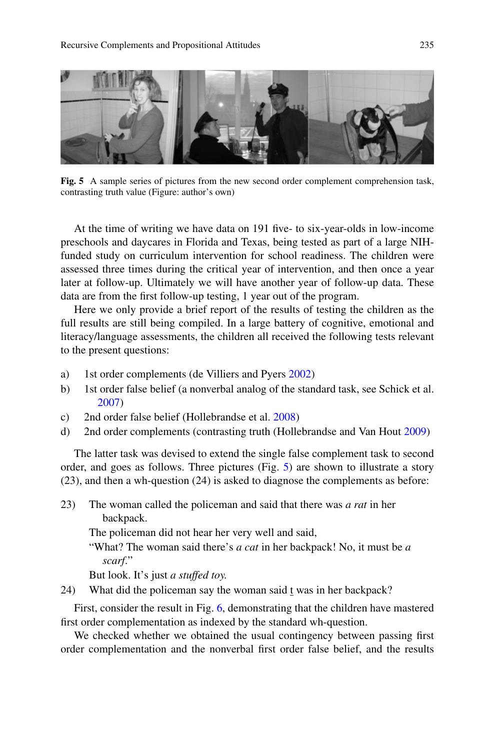

**Fig. 5** A sample series of pictures from the new second order complement comprehension task, contrasting truth value (Figure: author's own)

<span id="page-15-0"></span>At the time of writing we have data on 191 five- to six-year-olds in low-income preschools and daycares in Florida and Texas, being tested as part of a large NIHfunded study on curriculum intervention for school readiness. The children were assessed three times during the critical year of intervention, and then once a year later at follow-up. Ultimately we will have another year of follow-up data. These data are from the first follow-up testing, 1 year out of the program.

Here we only provide a brief report of the results of testing the children as the full results are still being compiled. In a large battery of cognitive, emotional and literacy/language assessments, the children all received the following tests relevant to the present questions:

- a) 1st order complements (de Villiers and Pyers [2002\)](#page-20-9)
- b) 1st order false belief (a nonverbal analog of the standard task, see Schick et al. [2007\)](#page-22-3)
- c) 2nd order false belief (Hollebrandse et al. [2008\)](#page-21-21)
- d) 2nd order complements (contrasting truth (Hollebrandse and Van Hout [2009\)](#page-21-23)

The latter task was devised to extend the single false complement task to second order, and goes as follows. Three pictures (Fig. [5\)](#page-15-0) are shown to illustrate a story (23), and then a wh-question (24) is asked to diagnose the complements as before:

23) The woman called the policeman and said that there was *a rat* in her backpack.

The policeman did not hear her very well and said,

"What? The woman said there's *a cat* in her backpack! No, it must be *a scarf*."

But look. It's just *a stuffed toy.*

24) What did the policeman say the woman said  $\frac{1}{2}$  was in her backpack?

First, consider the result in Fig. [6,](#page-16-0) demonstrating that the children have mastered first order complementation as indexed by the standard wh-question.

We checked whether we obtained the usual contingency between passing first order complementation and the nonverbal first order false belief, and the results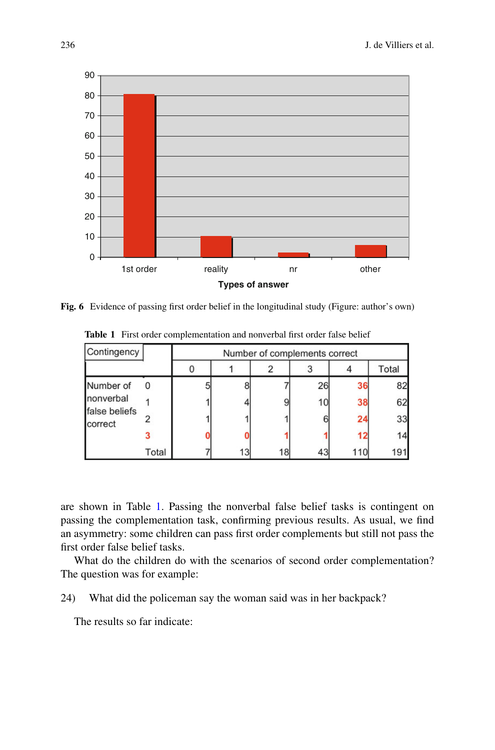

**Fig. 6** Evidence of passing first order belief in the longitudinal study (Figure: author's own)

<span id="page-16-1"></span>

| Contingency                                        |       | Number of complements correct |    |    |    |     |       |
|----------------------------------------------------|-------|-------------------------------|----|----|----|-----|-------|
|                                                    |       |                               |    |    |    |     | Total |
| Number of<br>nonverbal<br>false beliefs<br>correct |       |                               |    |    | 26 | 36  | 82    |
|                                                    |       |                               |    | 9  | 10 | 38  | 62    |
|                                                    |       |                               |    |    |    | 24  | 33    |
|                                                    |       |                               |    |    |    | 12  | 14    |
|                                                    | Total |                               | 13 | 18 | 43 | 110 | 19    |

<span id="page-16-0"></span>**Table 1** First order complementation and nonverbal first order false belief

are shown in Table [1.](#page-16-1) Passing the nonverbal false belief tasks is contingent on passing the complementation task, confirming previous results. As usual, we find an asymmetry: some children can pass first order complements but still not pass the first order false belief tasks.

What do the children do with the scenarios of second order complementation? The question was for example:

24) What did the policeman say the woman said was in her backpack?

The results so far indicate: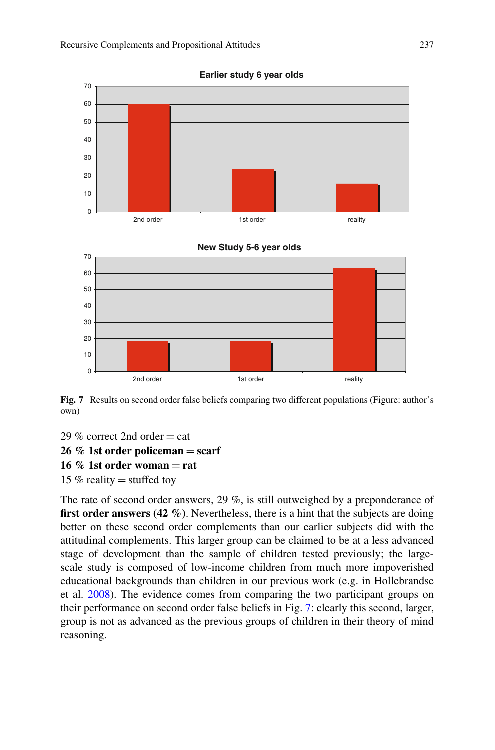



<span id="page-17-0"></span>**Fig. 7** Results on second order false beliefs comparing two different populations (Figure: author's own)

- 29  $%$  correct 2nd order  $=$  cat
- $26 \%$  1st order policeman = scarf
- **16 % 1st order woman**  $=$  **rat**

15 % reality  $=$  stuffed toy

The rate of second order answers, 29 %, is still outweighed by a preponderance of **first order answers (42 %)**. Nevertheless, there is a hint that the subjects are doing better on these second order complements than our earlier subjects did with the attitudinal complements. This larger group can be claimed to be at a less advanced stage of development than the sample of children tested previously; the largescale study is composed of low-income children from much more impoverished educational backgrounds than children in our previous work (e.g. in Hollebrandse et al. [2008\)](#page-21-21). The evidence comes from comparing the two participant groups on their performance on second order false beliefs in Fig. [7:](#page-17-0) clearly this second, larger, group is not as advanced as the previous groups of children in their theory of mind reasoning.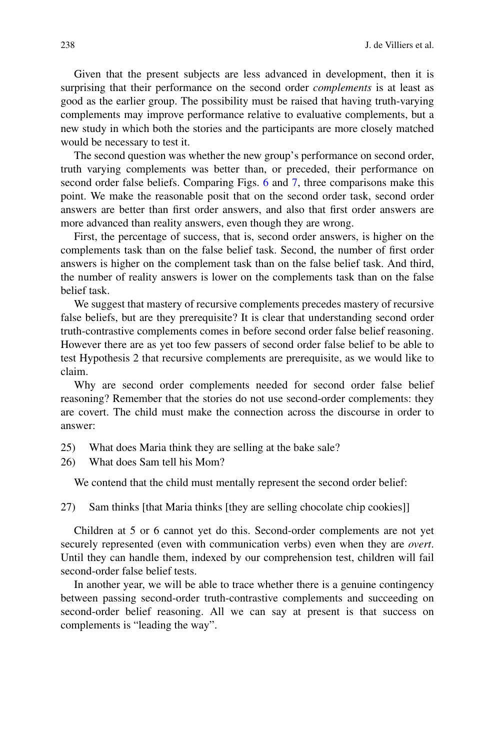Given that the present subjects are less advanced in development, then it is surprising that their performance on the second order *complements* is at least as good as the earlier group. The possibility must be raised that having truth-varying complements may improve performance relative to evaluative complements, but a new study in which both the stories and the participants are more closely matched would be necessary to test it.

The second question was whether the new group's performance on second order, truth varying complements was better than, or preceded, their performance on second order false beliefs. Comparing Figs. [6](#page-16-0) and [7,](#page-17-0) three comparisons make this point. We make the reasonable posit that on the second order task, second order answers are better than first order answers, and also that first order answers are more advanced than reality answers, even though they are wrong.

First, the percentage of success, that is, second order answers, is higher on the complements task than on the false belief task. Second, the number of first order answers is higher on the complement task than on the false belief task. And third, the number of reality answers is lower on the complements task than on the false belief task.

We suggest that mastery of recursive complements precedes mastery of recursive false beliefs, but are they prerequisite? It is clear that understanding second order truth-contrastive complements comes in before second order false belief reasoning. However there are as yet too few passers of second order false belief to be able to test Hypothesis 2 that recursive complements are prerequisite, as we would like to claim.

Why are second order complements needed for second order false belief reasoning? Remember that the stories do not use second-order complements: they are covert. The child must make the connection across the discourse in order to answer:

- 25) What does Maria think they are selling at the bake sale?
- 26) What does Sam tell his Mom?

We contend that the child must mentally represent the second order belief:

27) Sam thinks [that Maria thinks [they are selling chocolate chip cookies]]

Children at 5 or 6 cannot yet do this. Second-order complements are not yet securely represented (even with communication verbs) even when they are *overt*. Until they can handle them, indexed by our comprehension test, children will fail second-order false belief tests.

In another year, we will be able to trace whether there is a genuine contingency between passing second-order truth-contrastive complements and succeeding on second-order belief reasoning. All we can say at present is that success on complements is "leading the way".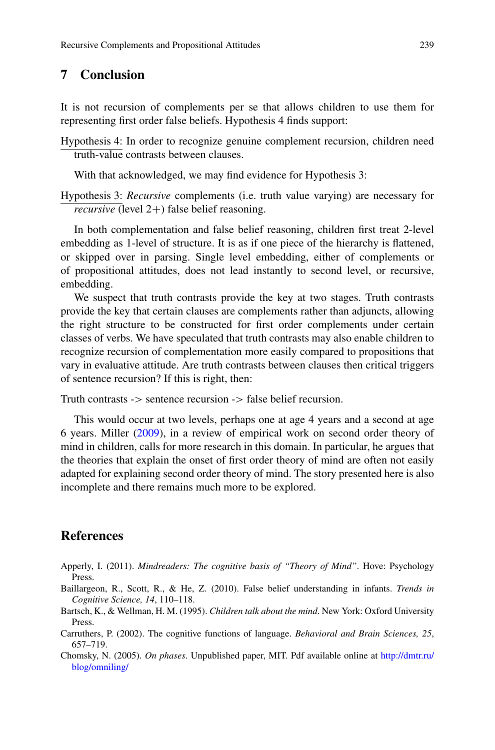# **7 Conclusion**

It is not recursion of complements per se that allows children to use them for representing first order false beliefs. Hypothesis 4 finds support:

Hypothesis 4: In order to recognize genuine complement recursion, children need truth-value contrasts between clauses.

With that acknowledged, we may find evidence for Hypothesis 3:

Hypothesis 3: *Recursive* complements (i.e. truth value varying) are necessary for  $recursively$  (level  $2+$ ) false belief reasoning.

In both complementation and false belief reasoning, children first treat 2-level embedding as 1-level of structure. It is as if one piece of the hierarchy is flattened, or skipped over in parsing. Single level embedding, either of complements or of propositional attitudes, does not lead instantly to second level, or recursive, embedding.

We suspect that truth contrasts provide the key at two stages. Truth contrasts provide the key that certain clauses are complements rather than adjuncts, allowing the right structure to be constructed for first order complements under certain classes of verbs. We have speculated that truth contrasts may also enable children to recognize recursion of complementation more easily compared to propositions that vary in evaluative attitude. Are truth contrasts between clauses then critical triggers of sentence recursion? If this is right, then:

```
Truth contrasts -> sentence recursion -> false belief recursion.
```
This would occur at two levels, perhaps one at age 4 years and a second at age 6 years. Miller [\(2009\)](#page-21-24), in a review of empirical work on second order theory of mind in children, calls for more research in this domain. In particular, he argues that the theories that explain the onset of first order theory of mind are often not easily adapted for explaining second order theory of mind. The story presented here is also incomplete and there remains much more to be explored.

# **References**

- <span id="page-19-2"></span>Apperly, I. (2011). *Mindreaders: The cognitive basis of "Theory of Mind"*. Hove: Psychology Press.
- <span id="page-19-4"></span>Baillargeon, R., Scott, R., & He, Z. (2010). False belief understanding in infants. *Trends in Cognitive Science, 14*, 110–118.
- <span id="page-19-1"></span>Bartsch, K., & Wellman, H. M. (1995). *Children talk about the mind*. New York: Oxford University Press.
- <span id="page-19-0"></span>Carruthers, P. (2002). The cognitive functions of language. *Behavioral and Brain Sciences, 25*, 657–719.
- <span id="page-19-3"></span>Chomsky, N. (2005). *On phases*. Unpublished paper, MIT. Pdf available online at [http://dmtr.ru/](http://dmtr.ru/blog/omniling/) [blog/omniling/](http://dmtr.ru/blog/omniling/)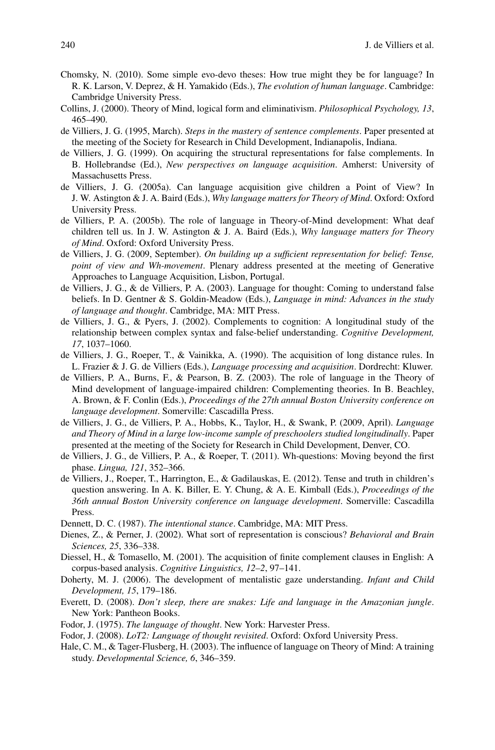- <span id="page-20-3"></span>Chomsky, N. (2010). Some simple evo-devo theses: How true might they be for language? In R. K. Larson, V. Deprez, & H. Yamakido (Eds.), *The evolution of human language*. Cambridge: Cambridge University Press.
- <span id="page-20-2"></span>Collins, J. (2000). Theory of Mind, logical form and eliminativism. *Philosophical Psychology, 13*, 465–490.
- <span id="page-20-6"></span>de Villiers, J. G. (1995, March). *Steps in the mastery of sentence complements*. Paper presented at the meeting of the Society for Research in Child Development, Indianapolis, Indiana.
- <span id="page-20-8"></span>de Villiers, J. G. (1999). On acquiring the structural representations for false complements. In B. Hollebrandse (Ed.), *New perspectives on language acquisition*. Amherst: University of Massachusetts Press.
- <span id="page-20-10"></span>de Villiers, J. G. (2005a). Can language acquisition give children a Point of View? In J. W. Astington & J. A. Baird (Eds.), *Why language matters for Theory of Mind*. Oxford: Oxford University Press.
- <span id="page-20-11"></span>de Villiers, P. A. (2005b). The role of language in Theory-of-Mind development: What deaf children tell us. In J. W. Astington & J. A. Baird (Eds.), *Why language matters for Theory of Mind*. Oxford: Oxford University Press.
- <span id="page-20-16"></span>de Villiers, J. G. (2009, September). *On building up a sufficient representation for belief: Tense, point of view and Wh-movement*. Plenary address presented at the meeting of Generative Approaches to Language Acquisition, Lisbon, Portugal.
- <span id="page-20-12"></span>de Villiers, J. G., & de Villiers, P. A. (2003). Language for thought: Coming to understand false beliefs. In D. Gentner & S. Goldin-Meadow (Eds.), *Language in mind: Advances in the study of language and thought*. Cambridge, MA: MIT Press.
- <span id="page-20-9"></span>de Villiers, J. G., & Pyers, J. (2002). Complements to cognition: A longitudinal study of the relationship between complex syntax and false-belief understanding. *Cognitive Development, 17*, 1037–1060.
- <span id="page-20-7"></span>de Villiers, J. G., Roeper, T., & Vainikka, A. (1990). The acquisition of long distance rules. In L. Frazier & J. G. de Villiers (Eds.), *Language processing and acquisition*. Dordrecht: Kluwer.
- <span id="page-20-13"></span>de Villiers, P. A., Burns, F., & Pearson, B. Z. (2003). The role of language in the Theory of Mind development of language-impaired children: Complementing theories. In B. Beachley, A. Brown, & F. Conlin (Eds.), *Proceedings of the 27th annual Boston University conference on language development*. Somerville: Cascadilla Press.
- <span id="page-20-21"></span>de Villiers, J. G., de Villiers, P. A., Hobbs, K., Taylor, H., & Swank, P. (2009, April). *Language and Theory of Mind in a large low-income sample of preschoolers studied longitudinally*. Paper presented at the meeting of the Society for Research in Child Development, Denver, CO.
- <span id="page-20-17"></span>de Villiers, J. G., de Villiers, P. A., & Roeper, T. (2011). Wh-questions: Moving beyond the first phase. *Lingua, 121*, 352–366.
- <span id="page-20-18"></span>de Villiers, J., Roeper, T., Harrington, E., & Gadilauskas, E. (2012). Tense and truth in children's question answering. In A. K. Biller, E. Y. Chung, & A. E. Kimball (Eds.), *Proceedings of the 36th annual Boston University conference on language development*. Somerville: Cascadilla Press.
- <span id="page-20-19"></span>Dennett, D. C. (1987). *The intentional stance*. Cambridge, MA: MIT Press.
- <span id="page-20-20"></span>Dienes, Z., & Perner, J. (2002). What sort of representation is conscious? *Behavioral and Brain Sciences, 25*, 336–338.
- <span id="page-20-5"></span>Diessel, H., & Tomasello, M. (2001). The acquisition of finite complement clauses in English: A corpus-based analysis. *Cognitive Linguistics, 12–2*, 97–141.
- <span id="page-20-15"></span>Doherty, M. J. (2006). The development of mentalistic gaze understanding. *Infant and Child Development, 15*, 179–186.
- <span id="page-20-4"></span>Everett, D. (2008). *Don't sleep, there are snakes: Life and language in the Amazonian jungle*. New York: Pantheon Books.
- <span id="page-20-0"></span>Fodor, J. (1975). *The language of thought*. New York: Harvester Press.
- <span id="page-20-1"></span>Fodor, J. (2008). *LoT2: Language of thought revisited*. Oxford: Oxford University Press.
- <span id="page-20-14"></span>Hale, C. M., & Tager-Flusberg, H. (2003). The influence of language on Theory of Mind: A training study. *Developmental Science, 6*, 346–359.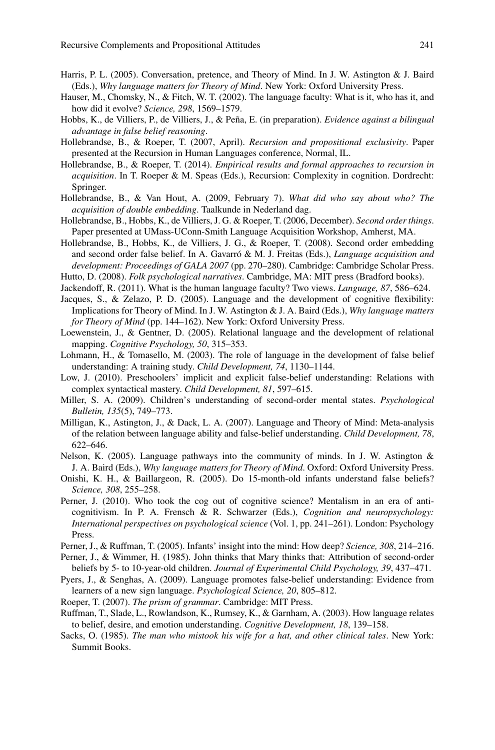- <span id="page-21-9"></span>Harris, P. L. (2005). Conversation, pretence, and Theory of Mind. In J. W. Astington & J. Baird (Eds.), *Why language matters for Theory of Mind*. New York: Oxford University Press.
- <span id="page-21-3"></span>Hauser, M., Chomsky, N., & Fitch, W. T. (2002). The language faculty: What is it, who has it, and how did it evolve? *Science, 298*, 1569–1579.
- <span id="page-21-5"></span>Hobbs, K., de Villiers, P., de Villiers, J., & Peña, E. (in preparation). *Evidence against a bilingual advantage in false belief reasoning*.
- <span id="page-21-16"></span>Hollebrandse, B., & Roeper, T. (2007, April). *Recursion and propositional exclusivity*. Paper presented at the Recursion in Human Languages conference, Normal, IL.
- <span id="page-21-1"></span>Hollebrandse, B., & Roeper, T. (2014). *Empirical results and formal approaches to recursion in acquisition*. In T. Roeper & M. Speas (Eds.), Recursion: Complexity in cognition. Dordrecht: Springer.
- <span id="page-21-23"></span>Hollebrandse, B., & Van Hout, A. (2009, February 7). *What did who say about who? The acquisition of double embedding*. Taalkunde in Nederland dag.
- <span id="page-21-20"></span>Hollebrandse, B., Hobbs, K., de Villiers, J. G. & Roeper, T. (2006, December). *Second order things*. Paper presented at UMass-UConn-Smith Language Acquisition Workshop, Amherst, MA.
- <span id="page-21-21"></span>Hollebrandse, B., Hobbs, K., de Villiers, J. G., & Roeper, T. (2008). Second order embedding and second order false belief. In A. Gavarró & M. J. Freitas (Eds.), *Language acquisition and development: Proceedings of GALA 2007* (pp. 270–280). Cambridge: Cambridge Scholar Press.
- <span id="page-21-13"></span>Hutto, D. (2008). *Folk psychological narratives*. Cambridge, MA: MIT press (Bradford books).
- <span id="page-21-2"></span>Jackendoff, R. (2011). What is the human language faculty? Two views. *Language, 87*, 586–624.
- <span id="page-21-18"></span>Jacques, S., & Zelazo, P. D. (2005). Language and the development of cognitive flexibility: Implications for Theory of Mind. In J. W. Astington & J. A. Baird (Eds.), *Why language matters for Theory of Mind* (pp. 144–162). New York: Oxford University Press.
- <span id="page-21-19"></span>Loewenstein, J., & Gentner, D. (2005). Relational language and the development of relational mapping. *Cognitive Psychology, 50*, 315–353.
- <span id="page-21-6"></span>Lohmann, H., & Tomasello, M. (2003). The role of language in the development of false belief understanding: A training study. *Child Development, 74*, 1130–1144.
- <span id="page-21-14"></span>Low, J. (2010). Preschoolers' implicit and explicit false-belief understanding: Relations with complex syntactical mastery. *Child Development, 81*, 597–615.
- <span id="page-21-24"></span>Miller, S. A. (2009). Children's understanding of second-order mental states. *Psychological Bulletin, 135*(5), 749–773.
- <span id="page-21-4"></span>Milligan, K., Astington, J., & Dack, L. A. (2007). Language and Theory of Mind: Meta-analysis of the relation between language ability and false-belief understanding. *Child Development, 78*, 622–646.
- <span id="page-21-8"></span>Nelson, K. (2005). Language pathways into the community of minds. In J. W. Astington & J. A. Baird (Eds.), *Why language matters for Theory of Mind*. Oxford: Oxford University Press.
- <span id="page-21-11"></span>Onishi, K. H., & Baillargeon, R. (2005). Do 15-month-old infants understand false beliefs? *Science, 308*, 255–258.
- <span id="page-21-17"></span>Perner, J. (2010). Who took the cog out of cognitive science? Mentalism in an era of anticognitivism. In P. A. Frensch & R. Schwarzer (Eds.), *Cognition and neuropsychology: International perspectives on psychological science* (Vol. 1, pp. 241–261). London: Psychology Press.
- <span id="page-21-12"></span>Perner, J., & Ruffman, T. (2005). Infants' insight into the mind: How deep? *Science, 308*, 214–216.
- <span id="page-21-22"></span>Perner, J., & Wimmer, H. (1985). John thinks that Mary thinks that: Attribution of second-order beliefs by 5- to 10-year-old children. *Journal of Experimental Child Psychology, 39*, 437–471.
- <span id="page-21-7"></span>Pyers, J., & Senghas, A. (2009). Language promotes false-belief understanding: Evidence from learners of a new sign language. *Psychological Science, 20*, 805–812.
- <span id="page-21-15"></span>Roeper, T. (2007). *The prism of grammar*. Cambridge: MIT Press.
- <span id="page-21-10"></span>Ruffman, T., Slade, L., Rowlandson, K., Rumsey, K., & Garnham, A. (2003). How language relates to belief, desire, and emotion understanding. *Cognitive Development, 18*, 139–158.
- <span id="page-21-0"></span>Sacks, O. (1985). *The man who mistook his wife for a hat, and other clinical tales*. New York: Summit Books.